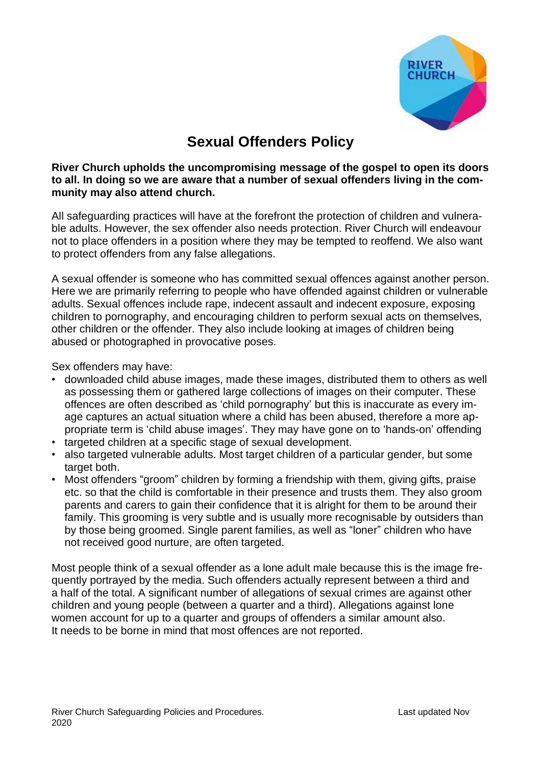

# **Sexual Offenders Policy**

### **River Church upholds the uncompromising message of the gospel to open its doors to all. In doing so we are aware that a number of sexual offenders living in the community may also attend church.**

All safeguarding practices will have at the forefront the protection of children and vulnerable adults. However, the sex offender also needs protection. River Church will endeavour not to place offenders in a position where they may be tempted to reoffend. We also want to protect offenders from any false allegations.

A sexual offender is someone who has committed sexual offences against another person. Here we are primarily referring to people who have offended against children or vulnerable adults. Sexual offences include rape, indecent assault and indecent exposure, exposing children to pornography, and encouraging children to perform sexual acts on themselves, other children or the offender. They also include looking at images of children being abused or photographed in provocative poses.

Sex offenders may have:

- downloaded child abuse images, made these images, distributed them to others as well as possessing them or gathered large collections of images on their computer. These offences are often described as 'child pornography' but this is inaccurate as every image captures an actual situation where a child has been abused, therefore a more appropriate term is 'child abuse images'. They may have gone on to 'hands-on' offending
- targeted children at a specific stage of sexual development.
- also targeted vulnerable adults. Most target children of a particular gender, but some target both.
- Most offenders "groom" children by forming a friendship with them, giving gifts, praise etc. so that the child is comfortable in their presence and trusts them. They also groom parents and carers to gain their confidence that it is alright for them to be around their family. This grooming is very subtle and is usually more recognisable by outsiders than by those being groomed. Single parent families, as well as "loner" children who have not received good nurture, are often targeted.

Most people think of a sexual offender as a lone adult male because this is the image frequently portrayed by the media. Such offenders actually represent between a third and a half of the total. A significant number of allegations of sexual crimes are against other children and young people (between a quarter and a third). Allegations against lone women account for up to a quarter and groups of offenders a similar amount also. It needs to be borne in mind that most offences are not reported.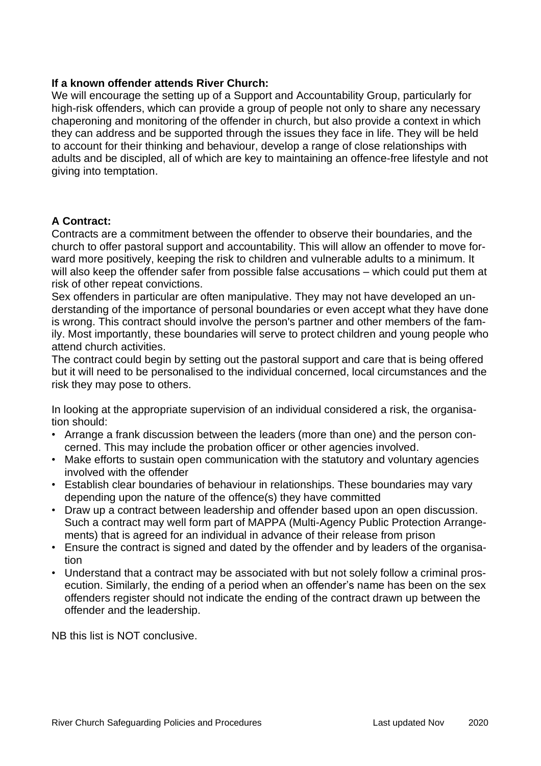### **If a known offender attends River Church:**

We will encourage the setting up of a Support and Accountability Group, particularly for high-risk offenders, which can provide a group of people not only to share any necessary chaperoning and monitoring of the offender in church, but also provide a context in which they can address and be supported through the issues they face in life. They will be held to account for their thinking and behaviour, develop a range of close relationships with adults and be discipled, all of which are key to maintaining an offence-free lifestyle and not giving into temptation.

## **A Contract:**

Contracts are a commitment between the offender to observe their boundaries, and the church to offer pastoral support and accountability. This will allow an offender to move forward more positively, keeping the risk to children and vulnerable adults to a minimum. It will also keep the offender safer from possible false accusations – which could put them at risk of other repeat convictions.

Sex offenders in particular are often manipulative. They may not have developed an understanding of the importance of personal boundaries or even accept what they have done is wrong. This contract should involve the person's partner and other members of the family. Most importantly, these boundaries will serve to protect children and young people who attend church activities.

The contract could begin by setting out the pastoral support and care that is being offered but it will need to be personalised to the individual concerned, local circumstances and the risk they may pose to others.

In looking at the appropriate supervision of an individual considered a risk, the organisation should:

- Arrange a frank discussion between the leaders (more than one) and the person concerned. This may include the probation officer or other agencies involved.
- Make efforts to sustain open communication with the statutory and voluntary agencies involved with the offender
- Establish clear boundaries of behaviour in relationships. These boundaries may vary depending upon the nature of the offence(s) they have committed
- Draw up a contract between leadership and offender based upon an open discussion. Such a contract may well form part of MAPPA (Multi-Agency Public Protection Arrangements) that is agreed for an individual in advance of their release from prison
- Ensure the contract is signed and dated by the offender and by leaders of the organisation
- Understand that a contract may be associated with but not solely follow a criminal prosecution. Similarly, the ending of a period when an offender's name has been on the sex offenders register should not indicate the ending of the contract drawn up between the offender and the leadership.

NB this list is NOT conclusive.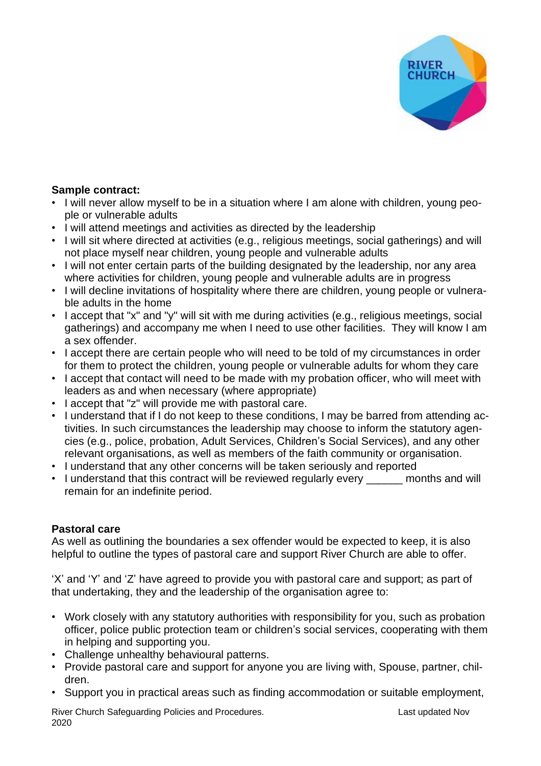

# **Sample contract:**

- I will never allow myself to be in a situation where I am alone with children, young people or vulnerable adults
- I will attend meetings and activities as directed by the leadership
- I will sit where directed at activities (e.g., religious meetings, social gatherings) and will not place myself near children, young people and vulnerable adults
- I will not enter certain parts of the building designated by the leadership, nor any area where activities for children, young people and vulnerable adults are in progress
- I will decline invitations of hospitality where there are children, young people or vulnerable adults in the home
- I accept that "x" and "y" will sit with me during activities (e.g., religious meetings, social gatherings) and accompany me when I need to use other facilities. They will know I am a sex offender.
- I accept there are certain people who will need to be told of my circumstances in order for them to protect the children, young people or vulnerable adults for whom they care
- I accept that contact will need to be made with my probation officer, who will meet with leaders as and when necessary (where appropriate)
- I accept that "z" will provide me with pastoral care.
- I understand that if I do not keep to these conditions, I may be barred from attending activities. In such circumstances the leadership may choose to inform the statutory agencies (e.g., police, probation, Adult Services, Children's Social Services), and any other relevant organisations, as well as members of the faith community or organisation.
- I understand that any other concerns will be taken seriously and reported
- I understand that this contract will be reviewed regularly every \_\_\_\_\_\_ months and will remain for an indefinite period.

# **Pastoral care**

As well as outlining the boundaries a sex offender would be expected to keep, it is also helpful to outline the types of pastoral care and support River Church are able to offer.

'X' and 'Y' and 'Z' have agreed to provide you with pastoral care and support; as part of that undertaking, they and the leadership of the organisation agree to:

- Work closely with any statutory authorities with responsibility for you, such as probation officer, police public protection team or children's social services, cooperating with them in helping and supporting you.
- Challenge unhealthy behavioural patterns.
- Provide pastoral care and support for anyone you are living with, Spouse, partner, children.
- Support you in practical areas such as finding accommodation or suitable employment,

River Church Safeguarding Policies and Procedures. The Channel Control of Last updated Nov 2020